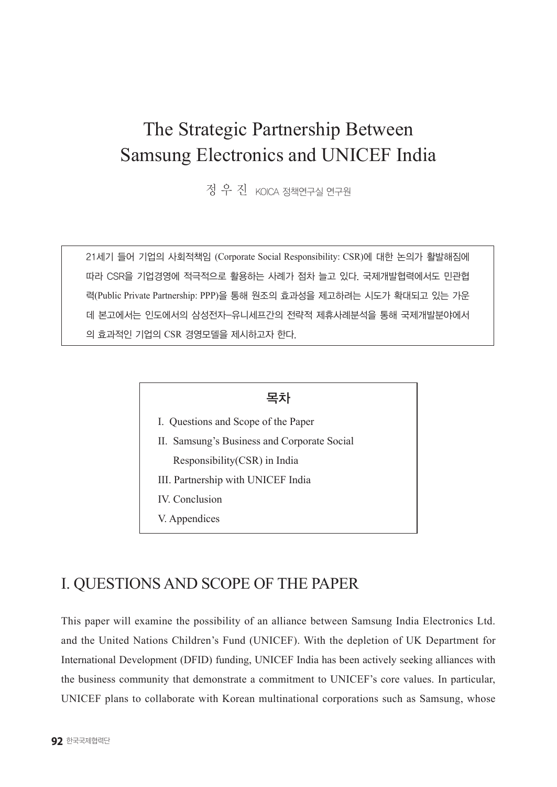# The Strategic Partnership Between Samsung Electronics and UNICEF India

정 우 진 KOICA 정책연구실 연구원

21세기 들어 기업의 사회적책임 (Corporate Social Responsibility: CSR)에 대한 논의가 활발해짐에 따라 CSR을 기업경영에 적극적으로 활용하는 사례가 점차 늘고 있다. 국제개발협력에서도 민관협 력(Public Private Partnership: PPP)을 통해 원조의 효과성을 제고하려는 시도가 확대되고 있는 가운 데 본고에서는 인도에서의 삼성전자-유니세프간의 전략적 제휴사례분석을 통해 국제개발분야에서 의 효과적인 기업의 CSR 경영모델을 제시하고자 한다.

### 목차

- I. Questions and Scope of the Paper
- II. Samsung's Business and Corporate Social Responsibility(CSR) in India
- III. Partnership with UNICEF India
- IV. Conclusion
- V. Appendices

# I. QUESTIONS AND SCOPE OF THE PAPER

This paper will examine the possibility of an alliance between Samsung India Electronics Ltd. and the United Nations Children's Fund (UNICEF). With the depletion of UK Department for International Development (DFID) funding, UNICEF India has been actively seeking alliances with the business community that demonstrate a commitment to UNICEF's core values. In particular, UNICEF plans to collaborate with Korean multinational corporations such as Samsung, whose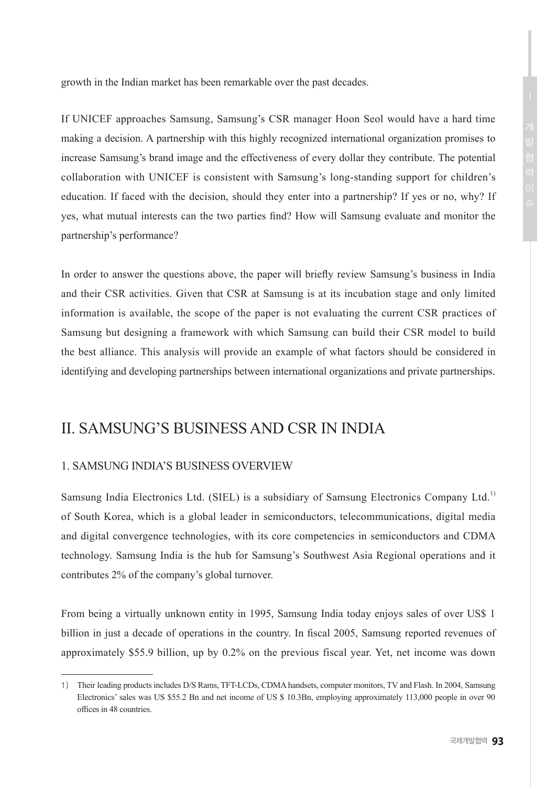growth in the Indian market has been remarkable over the past decades.

If UNICEF approaches Samsung, Samsung's CSR manager Hoon Seol would have a hard time making a decision. A partnership with this highly recognized international organization promises to increase Samsung's brand image and the effectiveness of every dollar they contribute. The potential collaboration with UNICEF is consistent with Samsung's long-standing support for children's education. If faced with the decision, should they enter into a partnership? If yes or no, why? If yes, what mutual interests can the two parties find? How will Samsung evaluate and monitor the partnership's performance?

In order to answer the questions above, the paper will briefly review Samsung's business in India and their CSR activities. Given that CSR at Samsung is at its incubation stage and only limited information is available, the scope of the paper is not evaluating the current CSR practices of Samsung but designing a framework with which Samsung can build their CSR model to build the best alliance. This analysis will provide an example of what factors should be considered in identifying and developing partnerships between international organizations and private partnerships.

# II. SAMSUNG'S BUSINESS AND CSR IN INDIA

### 1. SAMSUNG INDIA'S BUSINESS OVERVIEW

Samsung India Electronics Ltd. (SIEL) is a subsidiary of Samsung Electronics Company Ltd.<sup>1)</sup> of South Korea, which is a global leader in semiconductors, telecommunications, digital media and digital convergence technologies, with its core competencies in semiconductors and CDMA technology. Samsung India is the hub for Samsung's Southwest Asia Regional operations and it contributes 2% of the company's global turnover.

From being a virtually unknown entity in 1995, Samsung India today enjoys sales of over US\$ 1 billion in just a decade of operations in the country. In fiscal 2005, Samsung reported revenues of approximately \$55.9 billion, up by 0.2% on the previous fiscal year. Yet, net income was down

<sup>1)</sup> Their leading products includes D/S Rams, TFT-LCDs, CDMA handsets, computer monitors, TV and Flash. In 2004, Samsung Electronics' sales was US \$55.2 Bn and net income of US \$ 10.3Bn, employing approximately 113,000 people in over 90 offices in 48 countries.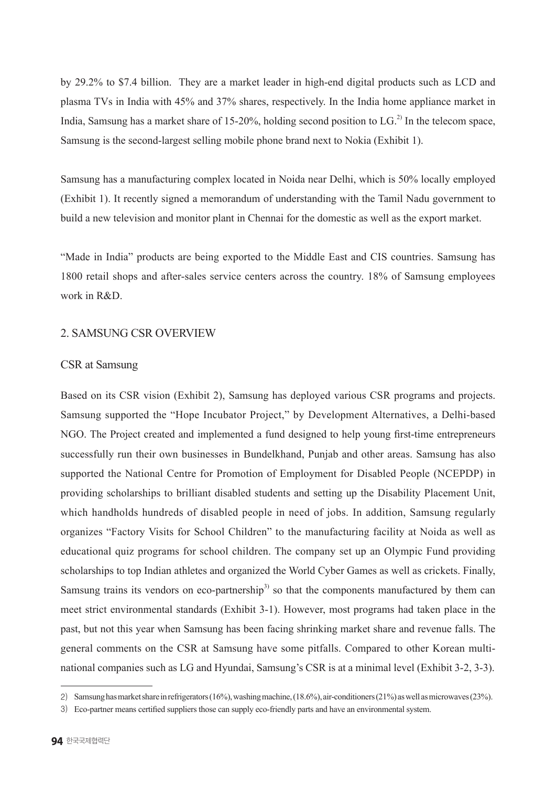by 29.2% to \$7.4 billion. They are a market leader in high-end digital products such as LCD and plasma TVs in India with 45% and 37% shares, respectively. In the India home appliance market in India, Samsung has a market share of 15-20%, holding second position to  $LG<sup>2</sup>$  In the telecom space, Samsung is the second-largest selling mobile phone brand next to Nokia (Exhibit 1).

Samsung has a manufacturing complex located in Noida near Delhi, which is 50% locally employed (Exhibit 1). It recently signed a memorandum of understanding with the Tamil Nadu government to build a new television and monitor plant in Chennai for the domestic as well as the export market.

"Made in India" products are being exported to the Middle East and CIS countries. Samsung has 1800 retail shops and after-sales service centers across the country. 18% of Samsung employees work in R&D.

### 2. SAMSUNG CSR OVERVIEW

### CSR at Samsung

Based on its CSR vision (Exhibit 2), Samsung has deployed various CSR programs and projects. Samsung supported the "Hope Incubator Project," by Development Alternatives, a Delhi-based NGO. The Project created and implemented a fund designed to help young first-time entrepreneurs successfully run their own businesses in Bundelkhand, Punjab and other areas. Samsung has also supported the National Centre for Promotion of Employment for Disabled People (NCEPDP) in providing scholarships to brilliant disabled students and setting up the Disability Placement Unit, which handholds hundreds of disabled people in need of jobs. In addition, Samsung regularly organizes "Factory Visits for School Children" to the manufacturing facility at Noida as well as educational quiz programs for school children. The company set up an Olympic Fund providing scholarships to top Indian athletes and organized the World Cyber Games as well as crickets. Finally, Samsung trains its vendors on eco-partnership<sup>3)</sup> so that the components manufactured by them can meet strict environmental standards (Exhibit 3-1). However, most programs had taken place in the past, but not this year when Samsung has been facing shrinking market share and revenue falls. The general comments on the CSR at Samsung have some pitfalls. Compared to other Korean multinational companies such as LG and Hyundai, Samsung's CSR is at a minimal level (Exhibit 3-2, 3-3).

<sup>2)</sup>  Samsung has market share in refrigerators (16%), washing machine, (18.6%), air-conditioners (21%) as well as microwaves (23%).

<sup>3)</sup>  Eco-partner means certified suppliers those can supply eco-friendly parts and have an environmental system.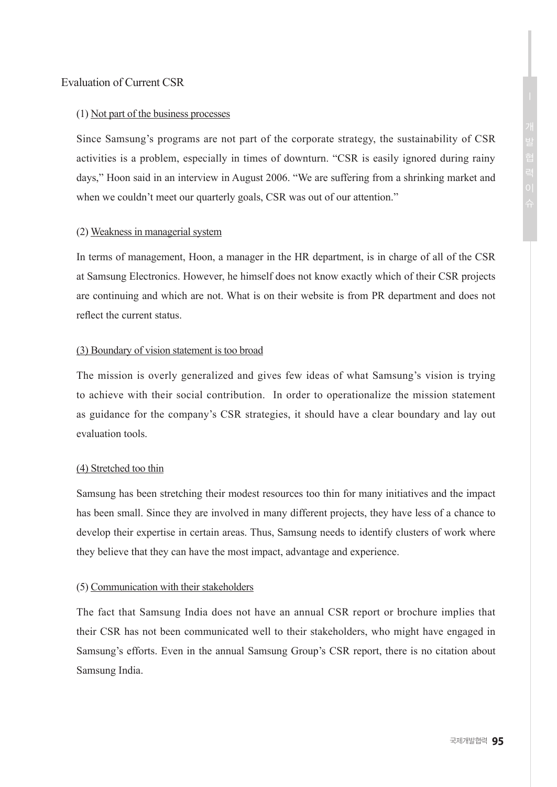### Evaluation of Current CSR

#### (1) Not part of the business processes

Since Samsung's programs are not part of the corporate strategy, the sustainability of CSR activities is a problem, especially in times of downturn. "CSR is easily ignored during rainy days," Hoon said in an interview in August 2006. "We are suffering from a shrinking market and when we couldn't meet our quarterly goals, CSR was out of our attention."

### (2) Weakness in managerial system

In terms of management, Hoon, a manager in the HR department, is in charge of all of the CSR at Samsung Electronics. However, he himself does not know exactly which of their CSR projects are continuing and which are not. What is on their website is from PR department and does not reflect the current status.

### (3) Boundary of vision statement is too broad

The mission is overly generalized and gives few ideas of what Samsung's vision is trying to achieve with their social contribution. In order to operationalize the mission statement as guidance for the company's CSR strategies, it should have a clear boundary and lay out evaluation tools.

### (4) Stretched too thin

Samsung has been stretching their modest resources too thin for many initiatives and the impact has been small. Since they are involved in many different projects, they have less of a chance to develop their expertise in certain areas. Thus, Samsung needs to identify clusters of work where they believe that they can have the most impact, advantage and experience.

#### (5) Communication with their stakeholders

The fact that Samsung India does not have an annual CSR report or brochure implies that their CSR has not been communicated well to their stakeholders, who might have engaged in Samsung's efforts. Even in the annual Samsung Group's CSR report, there is no citation about Samsung India.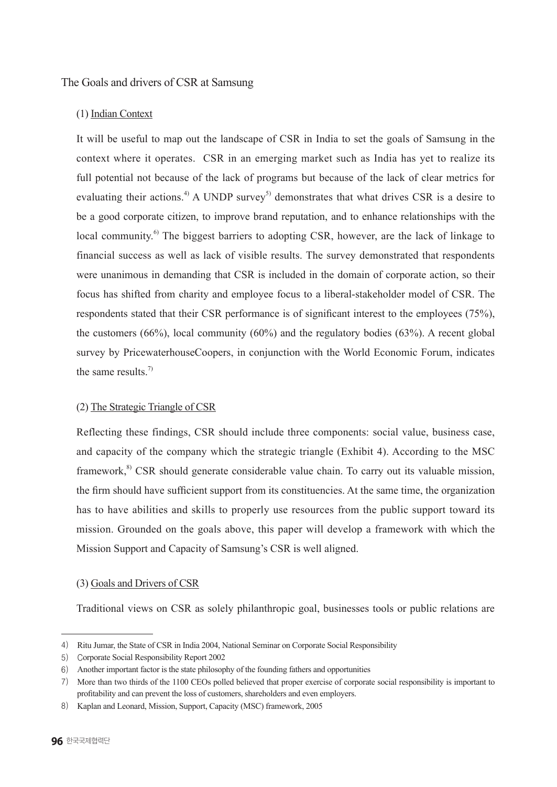### The Goals and drivers of CSR at Samsung

### (1) Indian Context

It will be useful to map out the landscape of CSR in India to set the goals of Samsung in the context where it operates. CSR in an emerging market such as India has yet to realize its full potential not because of the lack of programs but because of the lack of clear metrics for evaluating their actions.<sup>4)</sup> A UNDP survey<sup>5)</sup> demonstrates that what drives CSR is a desire to be a good corporate citizen, to improve brand reputation, and to enhance relationships with the local community.<sup>6)</sup> The biggest barriers to adopting CSR, however, are the lack of linkage to financial success as well as lack of visible results. The survey demonstrated that respondents were unanimous in demanding that CSR is included in the domain of corporate action, so their focus has shifted from charity and employee focus to a liberal-stakeholder model of CSR. The respondents stated that their CSR performance is of significant interest to the employees (75%), the customers  $(66\%)$ , local community  $(60\%)$  and the regulatory bodies  $(63\%)$ . A recent global survey by PricewaterhouseCoopers, in conjunction with the World Economic Forum, indicates the same results. $7$ 

### (2) The Strategic Triangle of CSR

Reflecting these findings, CSR should include three components: social value, business case, and capacity of the company which the strategic triangle (Exhibit 4). According to the MSC framework,<sup>8)</sup> CSR should generate considerable value chain. To carry out its valuable mission, the firm should have sufficient support from its constituencies. At the same time, the organization has to have abilities and skills to properly use resources from the public support toward its mission. Grounded on the goals above, this paper will develop a framework with which the Mission Support and Capacity of Samsung's CSR is well aligned.

### (3) Goals and Drivers of CSR

Traditional views on CSR as solely philanthropic goal, businesses tools or public relations are

<sup>4)</sup> Ritu Jumar, the State of CSR in India 2004, National Seminar on Corporate Social Responsibility

<sup>5)</sup> Corporate Social Responsibility Report 2002

<sup>6)</sup> Another important factor is the state philosophy of the founding fathers and opportunities

<sup>7)</sup> More than two thirds of the 1100 CEOs polled believed that proper exercise of corporate social responsibility is important to profitability and can prevent the loss of customers, shareholders and even employers.

<sup>8)</sup> Kaplan and Leonard, Mission, Support, Capacity (MSC) framework, 2005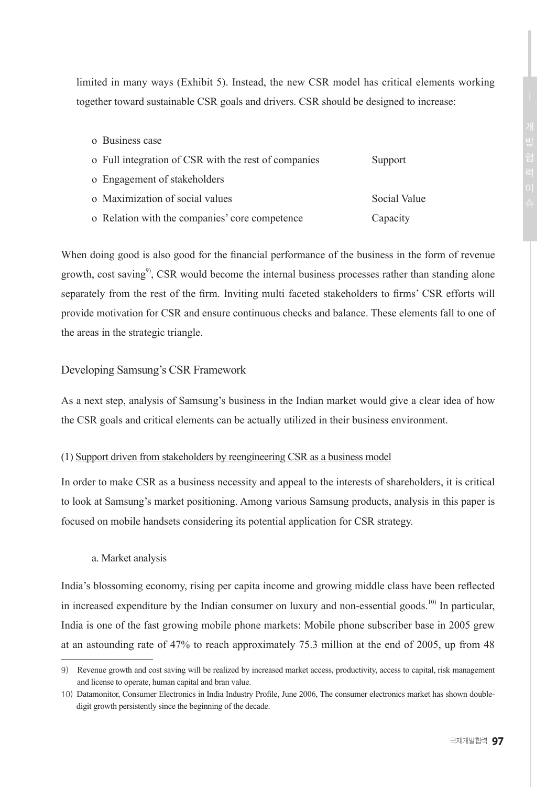limited in many ways (Exhibit 5). Instead, the new CSR model has critical elements working together toward sustainable CSR goals and drivers. CSR should be designed to increase:

- o Business case
- o Full integration of CSR with the rest of companies Support
- o Engagement of stakeholders
- o Maximization of social values Social Value
- o Relation with the companies' core competence Capacity

When doing good is also good for the financial performance of the business in the form of revenue growth, cost saving<sup>9</sup>, CSR would become the internal business processes rather than standing alone separately from the rest of the firm. Inviting multi faceted stakeholders to firms' CSR efforts will provide motivation for CSR and ensure continuous checks and balance. These elements fall to one of the areas in the strategic triangle.

### Developing Samsung's CSR Framework

As a next step, analysis of Samsung's business in the Indian market would give a clear idea of how the CSR goals and critical elements can be actually utilized in their business environment.

### (1) Support driven from stakeholders by reengineering CSR as a business model

In order to make CSR as a business necessity and appeal to the interests of shareholders, it is critical to look at Samsung's market positioning. Among various Samsung products, analysis in this paper is focused on mobile handsets considering its potential application for CSR strategy.

### a. Market analysis

India's blossoming economy, rising per capita income and growing middle class have been reflected in increased expenditure by the Indian consumer on luxury and non-essential goods.<sup>10)</sup> In particular, India is one of the fast growing mobile phone markets: Mobile phone subscriber base in 2005 grew at an astounding rate of 47% to reach approximately 75.3 million at the end of 2005, up from 48

<sup>9)</sup> Revenue growth and cost saving will be realized by increased market access, productivity, access to capital, risk management and license to operate, human capital and bran value.

<sup>10)</sup> Datamonitor, Consumer Electronics in India Industry Profile, June 2006, The consumer electronics market has shown doubledigit growth persistently since the beginning of the decade.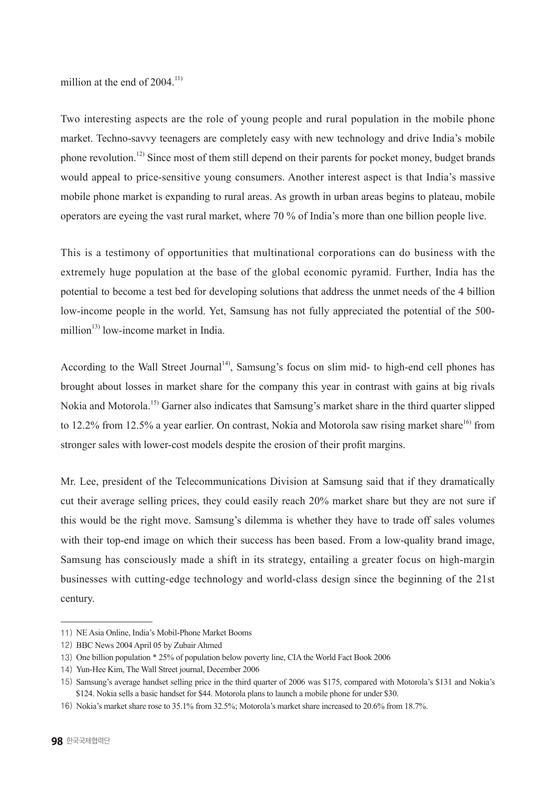million at the end of  $2004$ <sup>11)</sup>

Two interesting aspects are the role of young people and rural population in the mobile phone market. Techno-savvy teenagers are completely easy with new technology and drive India's mobile phone revolution.12) Since most of them still depend on their parents for pocket money, budget brands would appeal to price-sensitive young consumers. Another interest aspect is that India's massive mobile phone market is expanding to rural areas. As growth in urban areas begins to plateau, mobile operators are eyeing the vast rural market, where 70 % of India's more than one billion people live.

This is a testimony of opportunities that multinational corporations can do business with the extremely huge population at the base of the global economic pyramid. Further, India has the potential to become a test bed for developing solutions that address the unmet needs of the 4 billion low-income people in the world. Yet, Samsung has not fully appreciated the potential of the 500 million $^{13)}$  low-income market in India.

According to the Wall Street Journal<sup>14</sup>, Samsung's focus on slim mid- to high-end cell phones has brought about losses in market share for the company this year in contrast with gains at big rivals Nokia and Motorola.15) Garner also indicates that Samsung's market share in the third quarter slipped to 12.2% from 12.5% a year earlier. On contrast, Nokia and Motorola saw rising market share<sup>16)</sup> from stronger sales with lower-cost models despite the erosion of their profit margins.

Mr. Lee, president of the Telecommunications Division at Samsung said that if they dramatically cut their average selling prices, they could easily reach 20% market share but they are not sure if this would be the right move. Samsung's dilemma is whether they have to trade off sales volumes with their top-end image on which their success has been based. From a low-quality brand image, Samsung has consciously made a shift in its strategy, entailing a greater focus on high-margin businesses with cutting-edge technology and world-class design since the beginning of the 21st century.

<sup>11)</sup> NE Asia Online, India's Mobil-Phone Market Booms

<sup>12)</sup> BBC News 2004 April 05 by Zubair Ahmed

<sup>13)</sup> One billion population \* 25% of population below poverty line, CIA the World Fact Book 2006

<sup>14)</sup> Yun-Hee Kim, The Wall Street journal, December 2006

<sup>15)</sup>  Samsung's average handset selling price in the third quarter of 2006 was \$175, compared with Motorola's \$131 and Nokia's \$124. Nokia sells a basic handset for \$44. Motorola plans to launch a mobile phone for under \$30.

<sup>16)</sup> Nokia's market share rose to 35.1% from 32.5%; Motorola's market share increased to 20.6% from 18.7%.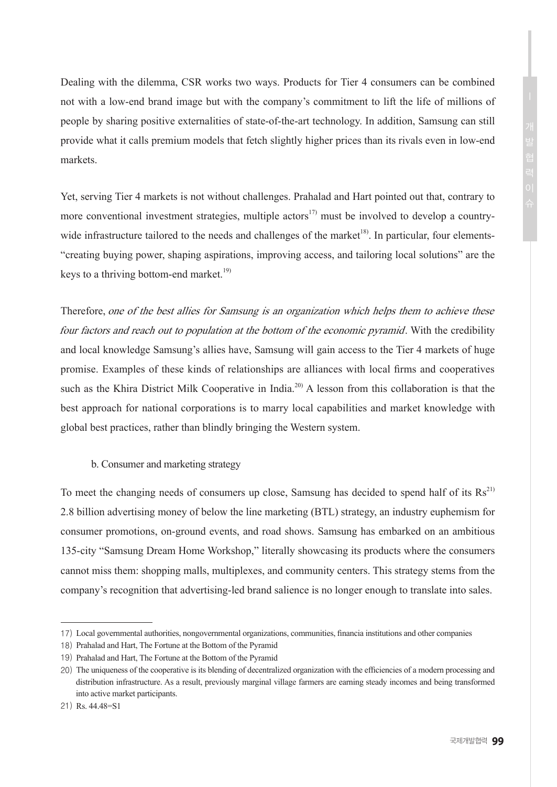Dealing with the dilemma, CSR works two ways. Products for Tier 4 consumers can be combined not with a low-end brand image but with the company's commitment to lift the life of millions of people by sharing positive externalities of state-of-the-art technology. In addition, Samsung can still provide what it calls premium models that fetch slightly higher prices than its rivals even in low-end markets.

Yet, serving Tier 4 markets is not without challenges. Prahalad and Hart pointed out that, contrary to more conventional investment strategies, multiple actors<sup>17)</sup> must be involved to develop a countrywide infrastructure tailored to the needs and challenges of the market<sup>18</sup>. In particular, four elements-"creating buying power, shaping aspirations, improving access, and tailoring local solutions" are the keys to a thriving bottom-end market.<sup>19)</sup>

Therefore, one of the best allies for Samsung is an organization which helps them to achieve these four factors and reach out to population at the bottom of the economic pyramid. With the credibility and local knowledge Samsung's allies have, Samsung will gain access to the Tier 4 markets of huge promise. Examples of these kinds of relationships are alliances with local firms and cooperatives such as the Khira District Milk Cooperative in India.<sup>20)</sup> A lesson from this collaboration is that the best approach for national corporations is to marry local capabilities and market knowledge with global best practices, rather than blindly bringing the Western system.

b. Consumer and marketing strategy

To meet the changing needs of consumers up close, Samsung has decided to spend half of its  $\text{Rs}^{21}$ 2.8 billion advertising money of below the line marketing (BTL) strategy, an industry euphemism for consumer promotions, on-ground events, and road shows. Samsung has embarked on an ambitious 135-city "Samsung Dream Home Workshop," literally showcasing its products where the consumers cannot miss them: shopping malls, multiplexes, and community centers. This strategy stems from the company's recognition that advertising-led brand salience is no longer enough to translate into sales.

<sup>17)</sup> Local governmental authorities, nongovernmental organizations, communities, financia institutions and other companies

<sup>18)</sup>  Prahalad and Hart, The Fortune at the Bottom of the Pyramid

<sup>19)</sup>  Prahalad and Hart, The Fortune at the Bottom of the Pyramid

<sup>20)</sup> The uniqueness of the cooperative is its blending of decentralized organization with the efficiencies of a modern processing and distribution infrastructure. As a result, previously marginal village farmers are earning steady incomes and being transformed into active market participants.

<sup>21)</sup> Rs. 44.48=S1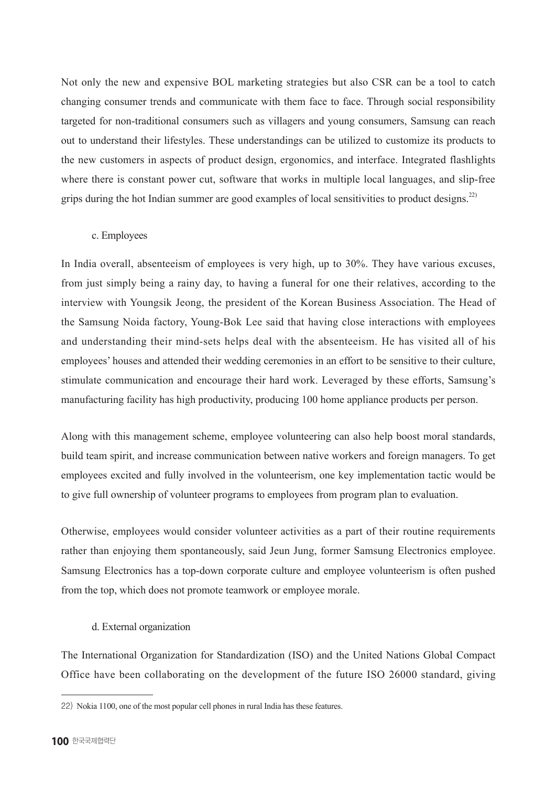Not only the new and expensive BOL marketing strategies but also CSR can be a tool to catch changing consumer trends and communicate with them face to face. Through social responsibility targeted for non-traditional consumers such as villagers and young consumers, Samsung can reach out to understand their lifestyles. These understandings can be utilized to customize its products to the new customers in aspects of product design, ergonomics, and interface. Integrated flashlights where there is constant power cut, software that works in multiple local languages, and slip-free grips during the hot Indian summer are good examples of local sensitivities to product designs.<sup>22)</sup>

### c. Employees

In India overall, absenteeism of employees is very high, up to 30%. They have various excuses, from just simply being a rainy day, to having a funeral for one their relatives, according to the interview with Youngsik Jeong, the president of the Korean Business Association. The Head of the Samsung Noida factory, Young-Bok Lee said that having close interactions with employees and understanding their mind-sets helps deal with the absenteeism. He has visited all of his employees' houses and attended their wedding ceremonies in an effort to be sensitive to their culture, stimulate communication and encourage their hard work. Leveraged by these efforts, Samsung's manufacturing facility has high productivity, producing 100 home appliance products per person.

Along with this management scheme, employee volunteering can also help boost moral standards, build team spirit, and increase communication between native workers and foreign managers. To get employees excited and fully involved in the volunteerism, one key implementation tactic would be to give full ownership of volunteer programs to employees from program plan to evaluation.

Otherwise, employees would consider volunteer activities as a part of their routine requirements rather than enjoying them spontaneously, said Jeun Jung, former Samsung Electronics employee. Samsung Electronics has a top-down corporate culture and employee volunteerism is often pushed from the top, which does not promote teamwork or employee morale.

### d. External organization

The International Organization for Standardization (ISO) and the United Nations Global Compact Office have been collaborating on the development of the future ISO 26000 standard, giving

<sup>22)</sup> Nokia 1100, one of the most popular cell phones in rural India has these features.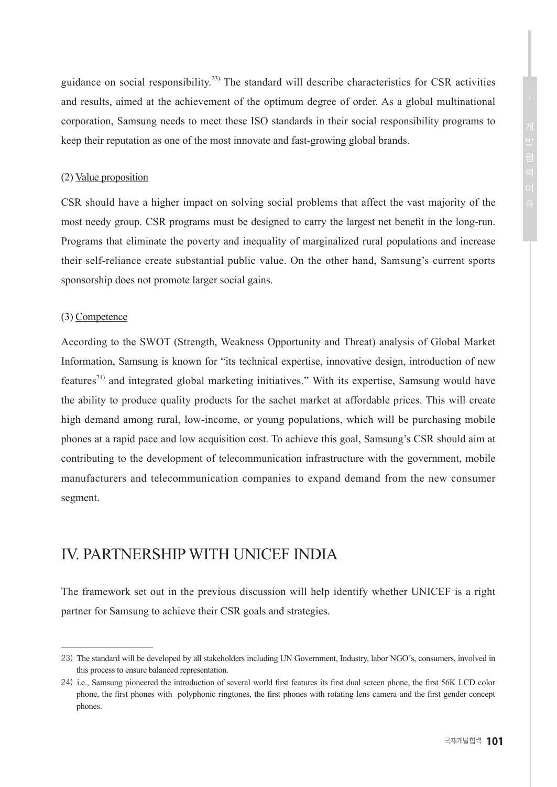guidance on social responsibility.<sup>23)</sup> The standard will describe characteristics for CSR activities and results, aimed at the achievement of the optimum degree of order. As a global multinational corporation, Samsung needs to meet these ISO standards in their social responsibility programs to keep their reputation as one of the most innovate and fast-growing global brands.

### (2) Value proposition

CSR should have a higher impact on solving social problems that affect the vast majority of the most needy group. CSR programs must be designed to carry the largest net benefit in the long-run. Programs that eliminate the poverty and inequality of marginalized rural populations and increase their self-reliance create substantial public value. On the other hand, Samsung's current sports sponsorship does not promote larger social gains.

#### (3) Competence

According to the SWOT (Strength, Weakness Opportunity and Threat) analysis of Global Market Information, Samsung is known for "its technical expertise, innovative design, introduction of new features<sup>24)</sup> and integrated global marketing initiatives." With its expertise, Samsung would have the ability to produce quality products for the sachet market at affordable prices. This will create high demand among rural, low-income, or young populations, which will be purchasing mobile phones at a rapid pace and low acquisition cost. To achieve this goal, Samsung's CSR should aim at contributing to the development of telecommunication infrastructure with the government, mobile manufacturers and telecommunication companies to expand demand from the new consumer segment.

# IV. PARTNERSHIP WITH UNICEF INDIA

The framework set out in the previous discussion will help identify whether UNICEF is a right partner for Samsung to achieve their CSR goals and strategies.

<sup>23)</sup> The standard will be developed by all stakeholders including UN Government, Industry, labor NGO´s, consumers, involved in this process to ensure balanced representation.

<sup>24)</sup> i.e., Samsung pioneered the introduction of several world first features its first dual screen phone, the first 56K LCD color phone, the first phones with polyphonic ringtones, the first phones with rotating lens camera and the first gender concept phones.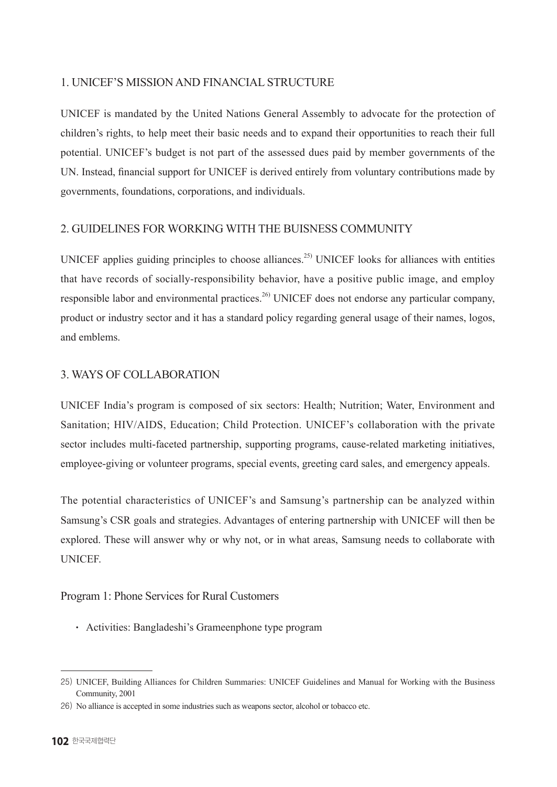### 1. UNICEF'S MISSION AND FINANCIAL STRUCTURE

UNICEF is mandated by the United Nations General Assembly to advocate for the protection of children's rights, to help meet their basic needs and to expand their opportunities to reach their full potential. UNICEF's budget is not part of the assessed dues paid by member governments of the UN. Instead, financial support for UNICEF is derived entirely from voluntary contributions made by governments, foundations, corporations, and individuals.

### 2. GUIDELINES FOR WORKING WITH THE BUISNESS COMMUNITY

UNICEF applies guiding principles to choose alliances.<sup>25)</sup> UNICEF looks for alliances with entities that have records of socially-responsibility behavior, have a positive public image, and employ responsible labor and environmental practices.<sup>26)</sup> UNICEF does not endorse any particular company, product or industry sector and it has a standard policy regarding general usage of their names, logos, and emblems.

### 3. WAYS OF COLLABORATION

UNICEF India's program is composed of six sectors: Health; Nutrition; Water, Environment and Sanitation; HIV/AIDS, Education; Child Protection. UNICEF's collaboration with the private sector includes multi-faceted partnership, supporting programs, cause-related marketing initiatives, employee-giving or volunteer programs, special events, greeting card sales, and emergency appeals.

The potential characteristics of UNICEF's and Samsung's partnership can be analyzed within Samsung's CSR goals and strategies. Advantages of entering partnership with UNICEF will then be explored. These will answer why or why not, or in what areas, Samsung needs to collaborate with UNICEF.

### Program 1: Phone Services for Rural Customers

• Activities: Bangladeshi's Grameenphone type program

<sup>25)</sup> UNICEF, Building Alliances for Children Summaries: UNICEF Guidelines and Manual for Working with the Business Community, 2001

<sup>26)</sup> No alliance is accepted in some industries such as weapons sector, alcohol or tobacco etc.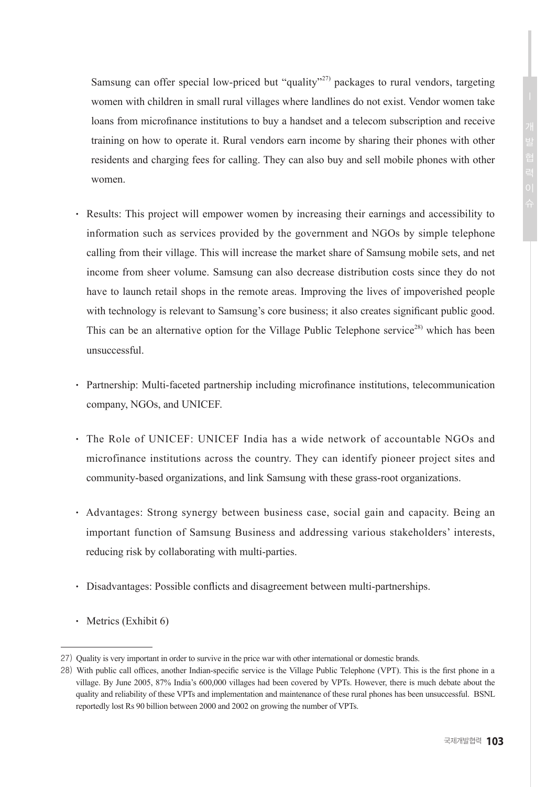Samsung can offer special low-priced but "quality"<sup>27</sup> packages to rural vendors, targeting women with children in small rural villages where landlines do not exist. Vendor women take loans from microfinance institutions to buy a handset and a telecom subscription and receive training on how to operate it. Rural vendors earn income by sharing their phones with other residents and charging fees for calling. They can also buy and sell mobile phones with other women.

- Results: This project will empower women by increasing their earnings and accessibility to information such as services provided by the government and NGOs by simple telephone calling from their village. This will increase the market share of Samsung mobile sets, and net income from sheer volume. Samsung can also decrease distribution costs since they do not have to launch retail shops in the remote areas. Improving the lives of impoverished people with technology is relevant to Samsung's core business; it also creates significant public good. This can be an alternative option for the Village Public Telephone service<sup>28)</sup> which has been unsuccessful.
- Partnership: Multi-faceted partnership including microfinance institutions, telecommunication company, NGOs, and UNICEF.
- The Role of UNICEF: UNICEF India has a wide network of accountable NGOs and microfinance institutions across the country. They can identify pioneer project sites and community-based organizations, and link Samsung with these grass-root organizations.
- Advantages: Strong synergy between business case, social gain and capacity. Being an important function of Samsung Business and addressing various stakeholders' interests, reducing risk by collaborating with multi-parties.
- Disadvantages: Possible conflicts and disagreement between multi-partnerships.
- $\cdot$  Metrics (Exhibit 6)

<sup>27)</sup> Quality is very important in order to survive in the price war with other international or domestic brands.

<sup>28)</sup> With public call offices, another Indian-specific service is the Village Public Telephone (VPT). This is the first phone in a village. By June 2005, 87% India's 600,000 villages had been covered by VPTs. However, there is much debate about the quality and reliability of these VPTs and implementation and maintenance of these rural phones has been unsuccessful. BSNL reportedly lost Rs 90 billion between 2000 and 2002 on growing the number of VPTs.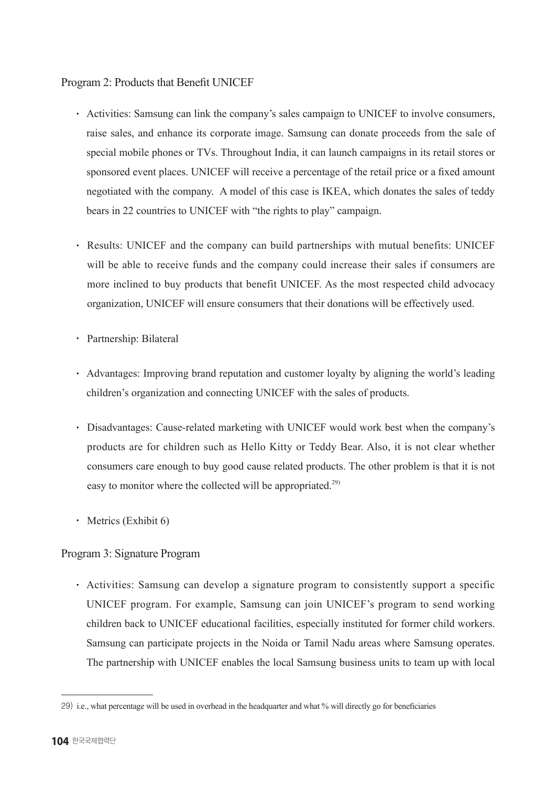### Program 2: Products that Benefit UNICEF

- Activities: Samsung can link the company's sales campaign to UNICEF to involve consumers, raise sales, and enhance its corporate image. Samsung can donate proceeds from the sale of special mobile phones or TVs. Throughout India, it can launch campaigns in its retail stores or sponsored event places. UNICEF will receive a percentage of the retail price or a fixed amount negotiated with the company. A model of this case is IKEA, which donates the sales of teddy bears in 22 countries to UNICEF with "the rights to play" campaign.
- Results: UNICEF and the company can build partnerships with mutual benefits: UNICEF will be able to receive funds and the company could increase their sales if consumers are more inclined to buy products that benefit UNICEF. As the most respected child advocacy organization, UNICEF will ensure consumers that their donations will be effectively used.
- Partnership: Bilateral
- Advantages: Improving brand reputation and customer loyalty by aligning the world's leading children's organization and connecting UNICEF with the sales of products.
- Disadvantages: Cause-related marketing with UNICEF would work best when the company's products are for children such as Hello Kitty or Teddy Bear. Also, it is not clear whether consumers care enough to buy good cause related products. The other problem is that it is not easy to monitor where the collected will be appropriated.<sup>29)</sup>
- $\cdot$  Metrics (Exhibit 6)

### Program 3: Signature Program

• Activities: Samsung can develop a signature program to consistently support a specific UNICEF program. For example, Samsung can join UNICEF's program to send working children back to UNICEF educational facilities, especially instituted for former child workers. Samsung can participate projects in the Noida or Tamil Nadu areas where Samsung operates. The partnership with UNICEF enables the local Samsung business units to team up with local

<sup>29)</sup> i.e., what percentage will be used in overhead in the headquarter and what % will directly go for beneficiaries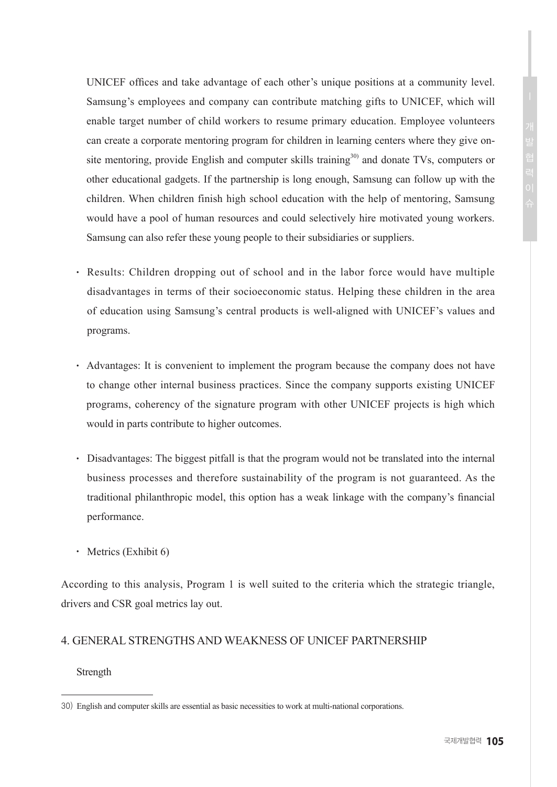UNICEF offices and take advantage of each other's unique positions at a community level. Samsung's employees and company can contribute matching gifts to UNICEF, which will enable target number of child workers to resume primary education. Employee volunteers can create a corporate mentoring program for children in learning centers where they give onsite mentoring, provide English and computer skills training<sup>30)</sup> and donate TVs, computers or other educational gadgets. If the partnership is long enough, Samsung can follow up with the children. When children finish high school education with the help of mentoring, Samsung would have a pool of human resources and could selectively hire motivated young workers. Samsung can also refer these young people to their subsidiaries or suppliers.

- Results: Children dropping out of school and in the labor force would have multiple disadvantages in terms of their socioeconomic status. Helping these children in the area of education using Samsung's central products is well-aligned with UNICEF's values and programs.
- Advantages: It is convenient to implement the program because the company does not have to change other internal business practices. Since the company supports existing UNICEF programs, coherency of the signature program with other UNICEF projects is high which would in parts contribute to higher outcomes.
- Disadvantages: The biggest pitfall is that the program would not be translated into the internal business processes and therefore sustainability of the program is not guaranteed. As the traditional philanthropic model, this option has a weak linkage with the company's financial performance.
- $\cdot$  Metrics (Exhibit 6)

According to this analysis, Program 1 is well suited to the criteria which the strategic triangle, drivers and CSR goal metrics lay out.

### 4. GENERAL STRENGTHS AND WEAKNESS OF UNICEF PARTNERSHIP

**Strength** 

<sup>30)</sup> English and computer skills are essential as basic necessities to work at multi-national corporations.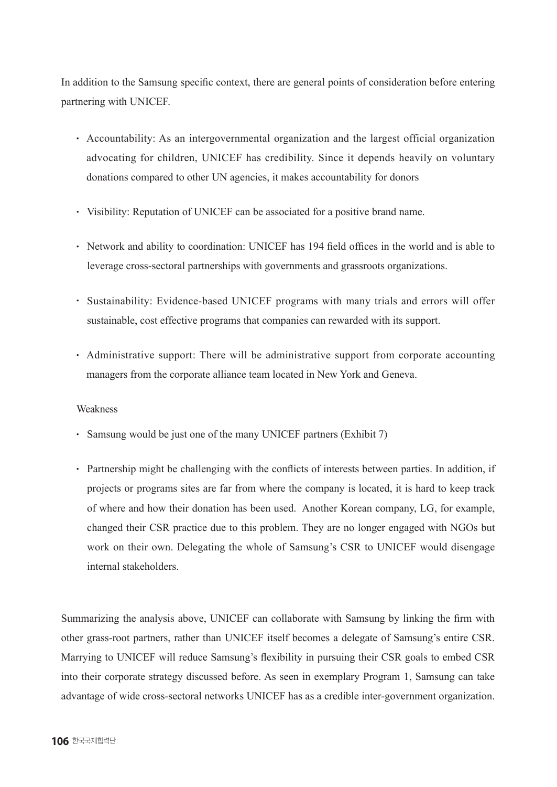In addition to the Samsung specific context, there are general points of consideration before entering partnering with UNICEF.

- Accountability: As an intergovernmental organization and the largest official organization advocating for children, UNICEF has credibility. Since it depends heavily on voluntary donations compared to other UN agencies, it makes accountability for donors
- Visibility: Reputation of UNICEF can be associated for a positive brand name.
- Network and ability to coordination: UNICEF has 194 field offices in the world and is able to leverage cross-sectoral partnerships with governments and grassroots organizations.
- Sustainability: Evidence-based UNICEF programs with many trials and errors will offer sustainable, cost effective programs that companies can rewarded with its support.
- Administrative support: There will be administrative support from corporate accounting managers from the corporate alliance team located in New York and Geneva.

### Weakness

- Samsung would be just one of the many UNICEF partners (Exhibit 7)
- Partnership might be challenging with the conflicts of interests between parties. In addition, if projects or programs sites are far from where the company is located, it is hard to keep track of where and how their donation has been used. Another Korean company, LG, for example, changed their CSR practice due to this problem. They are no longer engaged with NGOs but work on their own. Delegating the whole of Samsung's CSR to UNICEF would disengage internal stakeholders.

Summarizing the analysis above, UNICEF can collaborate with Samsung by linking the firm with other grass-root partners, rather than UNICEF itself becomes a delegate of Samsung's entire CSR. Marrying to UNICEF will reduce Samsung's flexibility in pursuing their CSR goals to embed CSR into their corporate strategy discussed before. As seen in exemplary Program 1, Samsung can take advantage of wide cross-sectoral networks UNICEF has as a credible inter-government organization.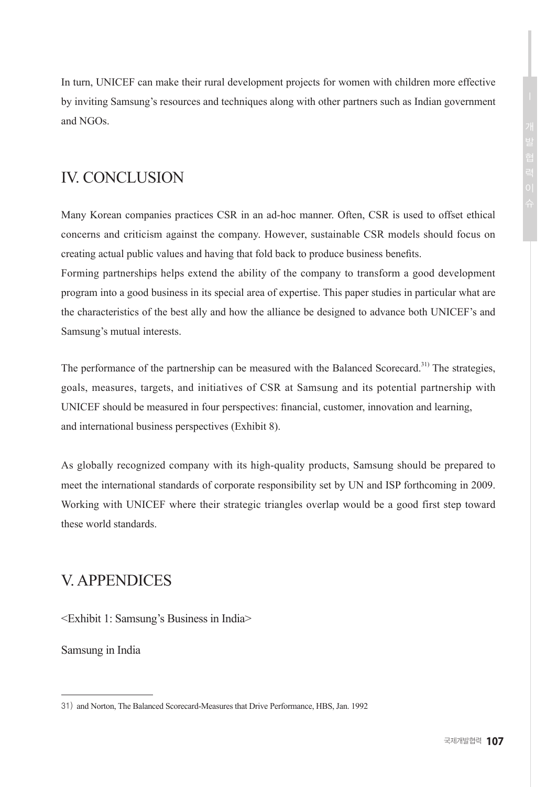In turn, UNICEF can make their rural development projects for women with children more effective by inviting Samsung's resources and techniques along with other partners such as Indian government and NGOs.

# IV. CONCLUSION

Many Korean companies practices CSR in an ad-hoc manner. Often, CSR is used to offset ethical concerns and criticism against the company. However, sustainable CSR models should focus on creating actual public values and having that fold back to produce business benefits.

Forming partnerships helps extend the ability of the company to transform a good development program into a good business in its special area of expertise. This paper studies in particular what are the characteristics of the best ally and how the alliance be designed to advance both UNICEF's and Samsung's mutual interests.

The performance of the partnership can be measured with the Balanced Scorecard.<sup>31)</sup> The strategies. goals, measures, targets, and initiatives of CSR at Samsung and its potential partnership with UNICEF should be measured in four perspectives: financial, customer, innovation and learning, and international business perspectives (Exhibit 8).

As globally recognized company with its high-quality products, Samsung should be prepared to meet the international standards of corporate responsibility set by UN and ISP forthcoming in 2009. Working with UNICEF where their strategic triangles overlap would be a good first step toward these world standards.

# V. APPENDICES

<Exhibit 1: Samsung's Business in India>

Samsung in India

<sup>31)</sup>  and Norton, The Balanced Scorecard-Measures that Drive Performance, HBS, Jan. 1992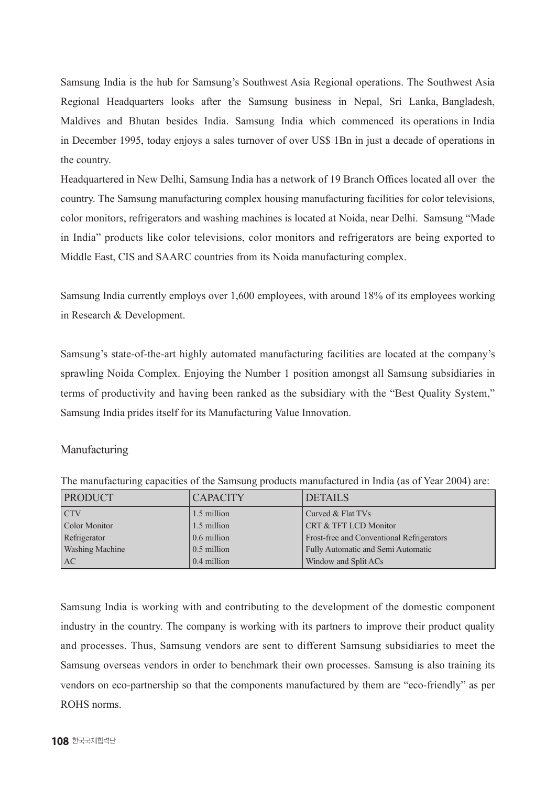Samsung India is the hub for Samsung's Southwest Asia Regional operations. The Southwest Asia Regional Headquarters looks after the Samsung business in Nepal, Sri Lanka, Bangladesh, Maldives and Bhutan besides India. Samsung India which commenced its operations in India in December 1995, today enjoys a sales turnover of over US\$ 1Bn in just a decade of operations in the country.

Headquartered in New Delhi, Samsung India has a network of 19 Branch Offices located all over the country. The Samsung manufacturing complex housing manufacturing facilities for color televisions, color monitors, refrigerators and washing machines is located at Noida, near Delhi. Samsung "Made in India" products like color televisions, color monitors and refrigerators are being exported to Middle East, CIS and SAARC countries from its Noida manufacturing complex.

Samsung India currently employs over 1,600 employees, with around 18% of its employees working in Research & Development.

Samsung's state-of-the-art highly automated manufacturing facilities are located at the company's sprawling Noida Complex. Enjoying the Number 1 position amongst all Samsung subsidiaries in terms of productivity and having been ranked as the subsidiary with the "Best Quality System," Samsung India prides itself for its Manufacturing Value Innovation.

### Manufacturing

| <b>PRODUCT</b>         | <b>CAPACITY</b> | <b>DETAILS</b>                            |
|------------------------|-----------------|-------------------------------------------|
| CTV                    | 1.5 million     | Curved & Flat TVs                         |
| Color Monitor          | 1.5 million     | CRT & TFT LCD Monitor                     |
| Refrigerator           | 0.6 million     | Frost-free and Conventional Refrigerators |
| <b>Washing Machine</b> | $0.5$ million   | Fully Automatic and Semi Automatic        |
| AC                     | 0.4 million     | Window and Split ACs                      |

The manufacturing capacities of the Samsung products manufactured in India (as of Year 2004) are:

Samsung India is working with and contributing to the development of the domestic component industry in the country. The company is working with its partners to improve their product quality and processes. Thus, Samsung vendors are sent to different Samsung subsidiaries to meet the Samsung overseas vendors in order to benchmark their own processes. Samsung is also training its vendors on eco-partnership so that the components manufactured by them are "eco-friendly" as per ROHS norms.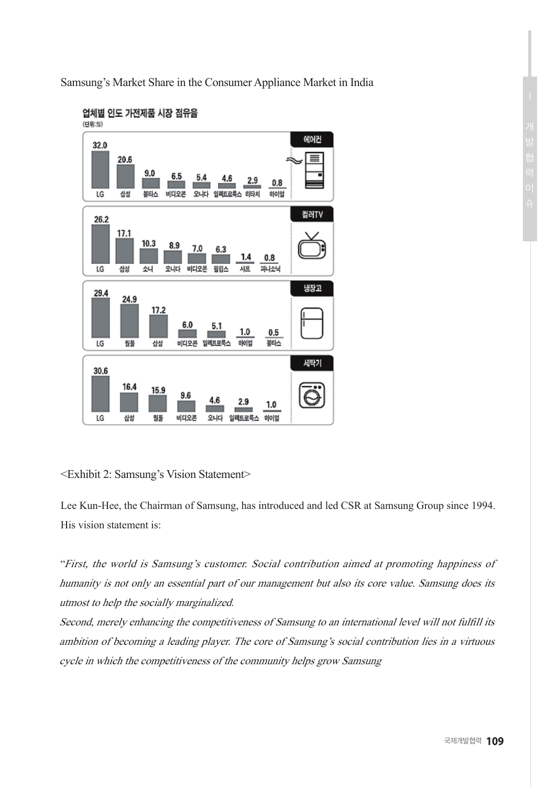Samsung's Market Share in the Consumer Appliance Market in India



### 업체별 인도 가전제품 시장 점유율

### <Exhibit 2: Samsung's Vision Statement>

Lee Kun-Hee, the Chairman of Samsung, has introduced and led CSR at Samsung Group since 1994. His vision statement is:

"First, the world is Samsung's customer. Social contribution aimed at promoting happiness of humanity is not only an essential part of our management but also its core value. Samsung does its utmost to help the socially marginalized.

Second, merely enhancing the competitiveness of Samsung to an international level will not fulfill its ambition of becoming a leading player. The core of Samsung's social contribution lies in a virtuous cycle in which the competitiveness of the community helps grow Samsung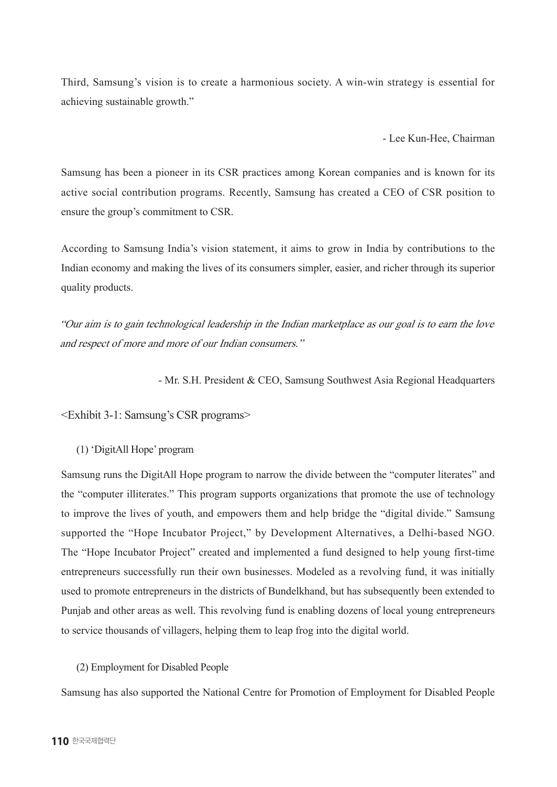Third, Samsung's vision is to create a harmonious society. A win-win strategy is essential for achieving sustainable growth."

- Lee Kun-Hee, Chairman

Samsung has been a pioneer in its CSR practices among Korean companies and is known for its active social contribution programs. Recently, Samsung has created a CEO of CSR position to ensure the group's commitment to CSR.

According to Samsung India's vision statement, it aims to grow in India by contributions to the Indian economy and making the lives of its consumers simpler, easier, and richer through its superior quality products.

"Our aim is to gain technological leadership in the Indian marketplace as our goal is to earn the love and respect of more and more of our Indian consumers."

- Mr. S.H. President & CEO, Samsung Southwest Asia Regional Headquarters

<Exhibit 3-1: Samsung's CSR programs>

(1) 'DigitAll Hope' program

Samsung runs the DigitAll Hope program to narrow the divide between the "computer literates" and the "computer illiterates." This program supports organizations that promote the use of technology to improve the lives of youth, and empowers them and help bridge the "digital divide." Samsung supported the "Hope Incubator Project," by Development Alternatives, a Delhi-based NGO. The "Hope Incubator Project" created and implemented a fund designed to help young first-time entrepreneurs successfully run their own businesses. Modeled as a revolving fund, it was initially used to promote entrepreneurs in the districts of Bundelkhand, but has subsequently been extended to Punjab and other areas as well. This revolving fund is enabling dozens of local young entrepreneurs to service thousands of villagers, helping them to leap frog into the digital world.

### (2) Employment for Disabled People

Samsung has also supported the National Centre for Promotion of Employment for Disabled People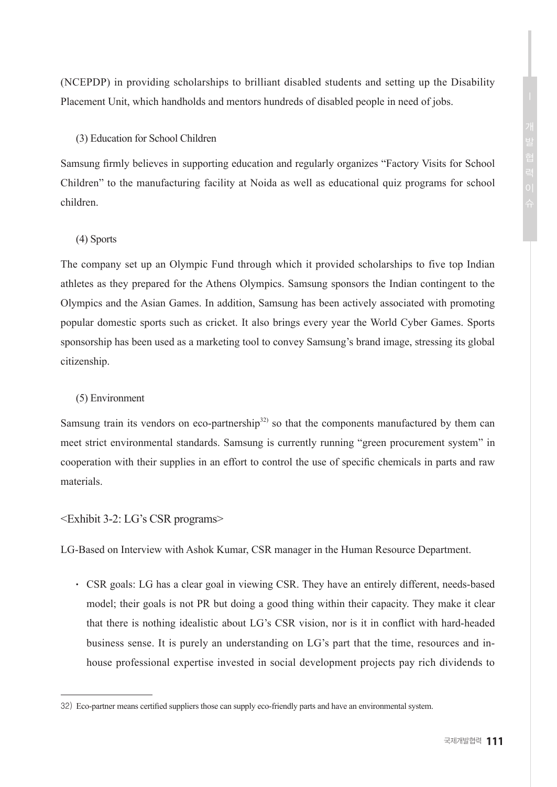(NCEPDP) in providing scholarships to brilliant disabled students and setting up the Disability Placement Unit, which handholds and mentors hundreds of disabled people in need of jobs.

### (3) Education for School Children

Samsung firmly believes in supporting education and regularly organizes "Factory Visits for School Children" to the manufacturing facility at Noida as well as educational quiz programs for school children.

### (4) Sports

The company set up an Olympic Fund through which it provided scholarships to five top Indian athletes as they prepared for the Athens Olympics. Samsung sponsors the Indian contingent to the Olympics and the Asian Games. In addition, Samsung has been actively associated with promoting popular domestic sports such as cricket. It also brings every year the World Cyber Games. Sports sponsorship has been used as a marketing tool to convey Samsung's brand image, stressing its global citizenship.

### (5) Environment

Samsung train its vendors on eco-partnership<sup>32)</sup> so that the components manufactured by them can meet strict environmental standards. Samsung is currently running "green procurement system" in cooperation with their supplies in an effort to control the use of specific chemicals in parts and raw materials.

### <Exhibit 3-2: LG's CSR programs>

LG-Based on Interview with Ashok Kumar, CSR manager in the Human Resource Department.

● CSR goals: LG has a clear goal in viewing CSR. They have an entirely different, needs-based model; their goals is not PR but doing a good thing within their capacity. They make it clear that there is nothing idealistic about LG's CSR vision, nor is it in conflict with hard-headed business sense. It is purely an understanding on LG's part that the time, resources and inhouse professional expertise invested in social development projects pay rich dividends to

<sup>32)</sup> Eco-partner means certified suppliers those can supply eco-friendly parts and have an environmental system.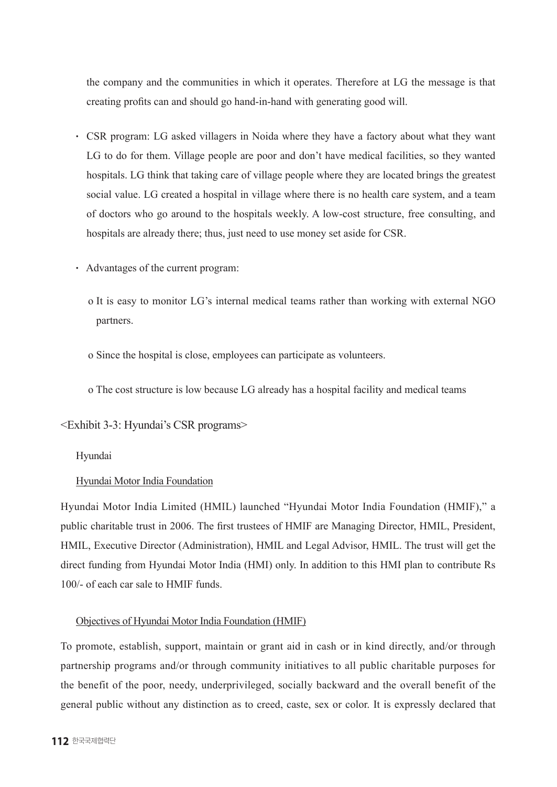the company and the communities in which it operates. Therefore at LG the message is that creating profits can and should go hand-in-hand with generating good will.

- CSR program: LG asked villagers in Noida where they have a factory about what they want LG to do for them. Village people are poor and don't have medical facilities, so they wanted hospitals. LG think that taking care of village people where they are located brings the greatest social value. LG created a hospital in village where there is no health care system, and a team of doctors who go around to the hospitals weekly. A low-cost structure, free consulting, and hospitals are already there; thus, just need to use money set aside for CSR.
- Advantages of the current program:
	- o It is easy to monitor LG's internal medical teams rather than working with external NGO partners.
	- o Since the hospital is close, employees can participate as volunteers.
	- o The cost structure is low because LG already has a hospital facility and medical teams

### <Exhibit 3-3: Hyundai's CSR programs>

### Hyundai

### Hyundai Motor India Foundation

Hyundai Motor India Limited (HMIL) launched "Hyundai Motor India Foundation (HMIF)," a public charitable trust in 2006. The first trustees of HMIF are Managing Director, HMIL, President, HMIL, Executive Director (Administration), HMIL and Legal Advisor, HMIL. The trust will get the direct funding from Hyundai Motor India (HMI) only. In addition to this HMI plan to contribute Rs 100/- of each car sale to HMIF funds.

### Objectives of Hyundai Motor India Foundation (HMIF)

To promote, establish, support, maintain or grant aid in cash or in kind directly, and/or through partnership programs and/or through community initiatives to all public charitable purposes for the benefit of the poor, needy, underprivileged, socially backward and the overall benefit of the general public without any distinction as to creed, caste, sex or color. It is expressly declared that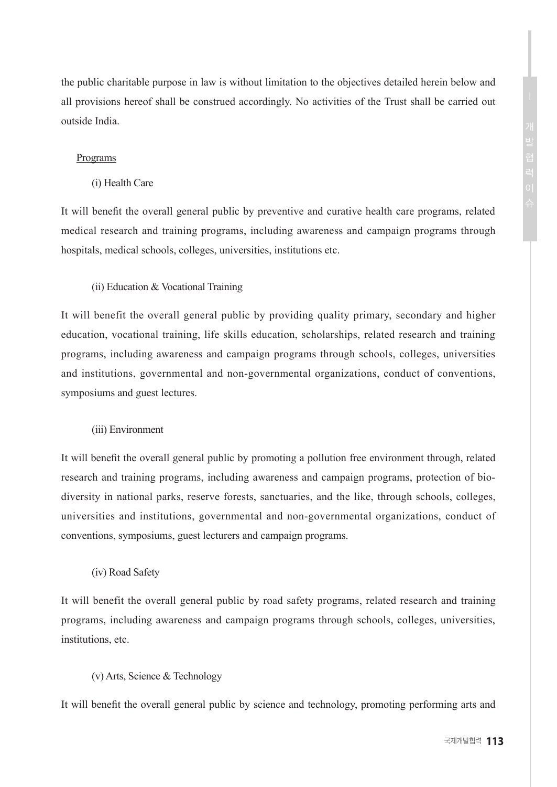the public charitable purpose in law is without limitation to the objectives detailed herein below and all provisions hereof shall be construed accordingly. No activities of the Trust shall be carried out outside India.

### Programs

(i) Health Care

It will benefit the overall general public by preventive and curative health care programs, related medical research and training programs, including awareness and campaign programs through hospitals, medical schools, colleges, universities, institutions etc.

### (ii) Education & Vocational Training

It will benefit the overall general public by providing quality primary, secondary and higher education, vocational training, life skills education, scholarships, related research and training programs, including awareness and campaign programs through schools, colleges, universities and institutions, governmental and non-governmental organizations, conduct of conventions, symposiums and guest lectures.

### (iii) Environment

It will benefit the overall general public by promoting a pollution free environment through, related research and training programs, including awareness and campaign programs, protection of biodiversity in national parks, reserve forests, sanctuaries, and the like, through schools, colleges, universities and institutions, governmental and non-governmental organizations, conduct of conventions, symposiums, guest lecturers and campaign programs.

### (iv) Road Safety

It will benefit the overall general public by road safety programs, related research and training programs, including awareness and campaign programs through schools, colleges, universities, institutions, etc.

#### (v) Arts, Science & Technology

It will benefit the overall general public by science and technology, promoting performing arts and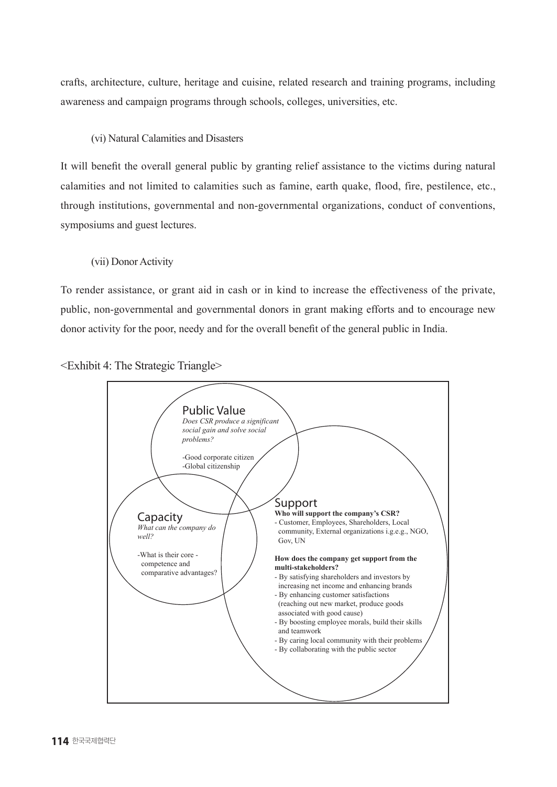crafts, architecture, culture, heritage and cuisine, related research and training programs, including awareness and campaign programs through schools, colleges, universities, etc.

### (vi) Natural Calamities and Disasters

It will benefit the overall general public by granting relief assistance to the victims during natural calamities and not limited to calamities such as famine, earth quake, flood, fire, pestilence, etc., through institutions, governmental and non-governmental organizations, conduct of conventions, symposiums and guest lectures.

### (vii) Donor Activity

To render assistance, or grant aid in cash or in kind to increase the effectiveness of the private, public, non-governmental and governmental donors in grant making efforts and to encourage new donor activity for the poor, needy and for the overall benefit of the general public in India.



<Exhibit 4: The Strategic Triangle>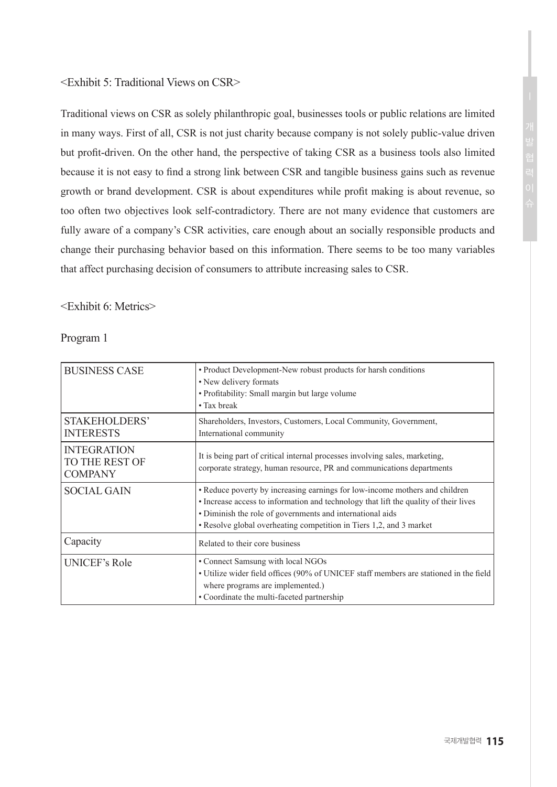### <Exhibit 5: Traditional Views on CSR>

Traditional views on CSR as solely philanthropic goal, businesses tools or public relations are limited in many ways. First of all, CSR is not just charity because company is not solely public-value driven but profit-driven. On the other hand, the perspective of taking CSR as a business tools also limited because it is not easy to find a strong link between CSR and tangible business gains such as revenue growth or brand development. CSR is about expenditures while profit making is about revenue, so too often two objectives look self-contradictory. There are not many evidence that customers are fully aware of a company's CSR activities, care enough about an socially responsible products and change their purchasing behavior based on this information. There seems to be too many variables that affect purchasing decision of consumers to attribute increasing sales to CSR.

### <Exhibit 6: Metrics>

Program 1

| <b>BUSINESS CASE</b>                                   | • Product Development-New robust products for harsh conditions<br>• New delivery formats<br>· Profitability: Small margin but large volume<br>• Tax break                                                                                                                                               |  |
|--------------------------------------------------------|---------------------------------------------------------------------------------------------------------------------------------------------------------------------------------------------------------------------------------------------------------------------------------------------------------|--|
| STAKEHOLDERS'<br><b>INTERESTS</b>                      | Shareholders, Investors, Customers, Local Community, Government,<br>International community                                                                                                                                                                                                             |  |
| <b>INTEGRATION</b><br>TO THE REST OF<br><b>COMPANY</b> | It is being part of critical internal processes involving sales, marketing,<br>corporate strategy, human resource, PR and communications departments                                                                                                                                                    |  |
| <b>SOCIAL GAIN</b>                                     | • Reduce poverty by increasing earnings for low-income mothers and children<br>• Increase access to information and technology that lift the quality of their lives<br>• Diminish the role of governments and international aids<br>• Resolve global overheating competition in Tiers 1,2, and 3 market |  |
| Capacity                                               | Related to their core business                                                                                                                                                                                                                                                                          |  |
| UNICEF's Role                                          | • Connect Samsung with local NGOs<br>• Utilize wider field offices (90% of UNICEF staff members are stationed in the field<br>where programs are implemented.)<br>• Coordinate the multi-faceted partnership                                                                                            |  |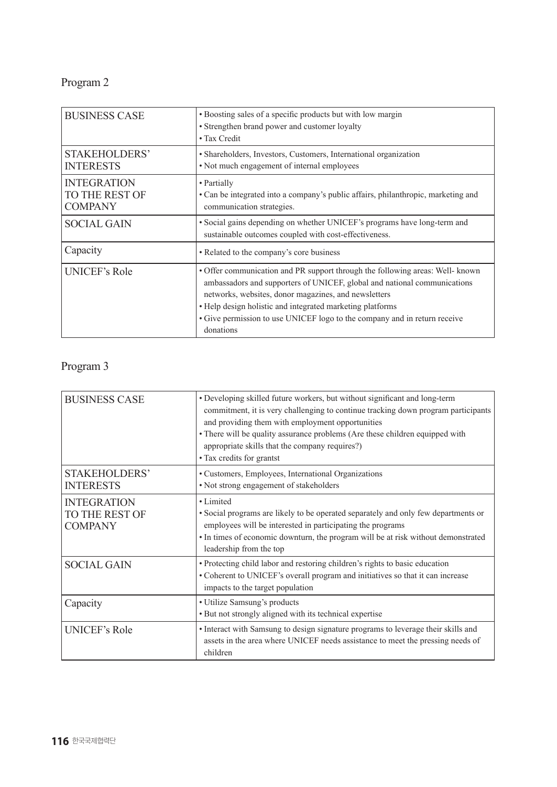# Program 2

| <b>BUSINESS CASE</b>                                   | • Boosting sales of a specific products but with low margin<br>• Strengthen brand power and customer loyalty<br>• Tax Credit                                                                                                                                                                                                                                             |  |
|--------------------------------------------------------|--------------------------------------------------------------------------------------------------------------------------------------------------------------------------------------------------------------------------------------------------------------------------------------------------------------------------------------------------------------------------|--|
| STAKEHOLDERS'<br><b>INTERESTS</b>                      | • Shareholders, Investors, Customers, International organization<br>• Not much engagement of internal employees                                                                                                                                                                                                                                                          |  |
| <b>INTEGRATION</b><br>TO THE REST OF<br><b>COMPANY</b> | • Partially<br>• Can be integrated into a company's public affairs, philanthropic, marketing and<br>communication strategies.                                                                                                                                                                                                                                            |  |
| <b>SOCIAL GAIN</b>                                     | • Social gains depending on whether UNICEF's programs have long-term and<br>sustainable outcomes coupled with cost-effectiveness.                                                                                                                                                                                                                                        |  |
| Capacity                                               | • Related to the company's core business                                                                                                                                                                                                                                                                                                                                 |  |
| UNICEF's Role                                          | • Offer communication and PR support through the following areas: Well- known<br>ambassadors and supporters of UNICEF, global and national communications<br>networks, websites, donor magazines, and newsletters<br>• Help design holistic and integrated marketing platforms<br>• Give permission to use UNICEF logo to the company and in return receive<br>donations |  |

# Program 3

| <b>BUSINESS CASE</b>                                   | • Developing skilled future workers, but without significant and long-term<br>commitment, it is very challenging to continue tracking down program participants<br>and providing them with employment opportunities<br>• There will be quality assurance problems (Are these children equipped with<br>appropriate skills that the company requires?)<br>• Tax credits for grantst |  |
|--------------------------------------------------------|------------------------------------------------------------------------------------------------------------------------------------------------------------------------------------------------------------------------------------------------------------------------------------------------------------------------------------------------------------------------------------|--|
| STAKEHOLDERS'<br><b>INTERESTS</b>                      | • Customers, Employees, International Organizations<br>• Not strong engagement of stakeholders                                                                                                                                                                                                                                                                                     |  |
| <b>INTEGRATION</b><br>TO THE REST OF<br><b>COMPANY</b> | • Limited<br>• Social programs are likely to be operated separately and only few departments or<br>employees will be interested in participating the programs<br>• In times of economic downturn, the program will be at risk without demonstrated<br>leadership from the top                                                                                                      |  |
| <b>SOCIAL GAIN</b>                                     | • Protecting child labor and restoring children's rights to basic education<br>• Coherent to UNICEF's overall program and initiatives so that it can increase<br>impacts to the target population                                                                                                                                                                                  |  |
| Capacity                                               | • Utilize Samsung's products<br>• But not strongly aligned with its technical expertise                                                                                                                                                                                                                                                                                            |  |
| UNICEF's Role                                          | • Interact with Samsung to design signature programs to leverage their skills and<br>assets in the area where UNICEF needs assistance to meet the pressing needs of<br>children                                                                                                                                                                                                    |  |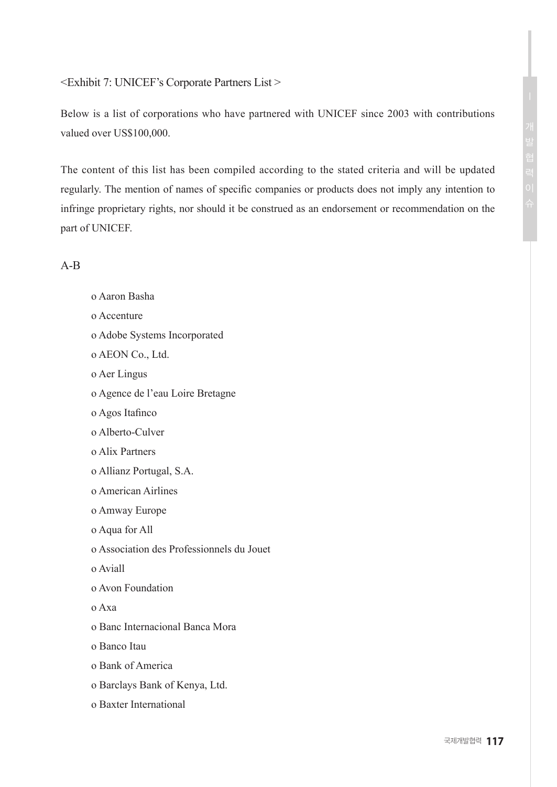### <Exhibit 7: UNICEF's Corporate Partners List >

Below is a list of corporations who have partnered with UNICEF since 2003 with contributions valued over US\$100,000.

The content of this list has been compiled according to the stated criteria and will be updated regularly. The mention of names of specific companies or products does not imply any intention to infringe proprietary rights, nor should it be construed as an endorsement or recommendation on the part of UNICEF.

### A-B

| o Aaron Basha                             |
|-------------------------------------------|
| o Accenture                               |
| o Adobe Systems Incorporated              |
| o AEON Co., Ltd.                          |
| o Aer Lingus                              |
| o Agence de l'eau Loire Bretagne          |
| o Agos Itafinco                           |
| o Alberto-Culver                          |
| o Alix Partners                           |
| o Allianz Portugal, S.A.                  |
| o American Airlines                       |
| o Amway Europe                            |
| o Aqua for All                            |
| o Association des Professionnels du Jouet |
| o Aviall                                  |
| o Avon Foundation                         |
| o Axa                                     |
| o Banc Internacional Banca Mora           |
| o Banco Itau                              |
| o Bank of America                         |
| o Barclays Bank of Kenya, Ltd.            |
| o Baxter International                    |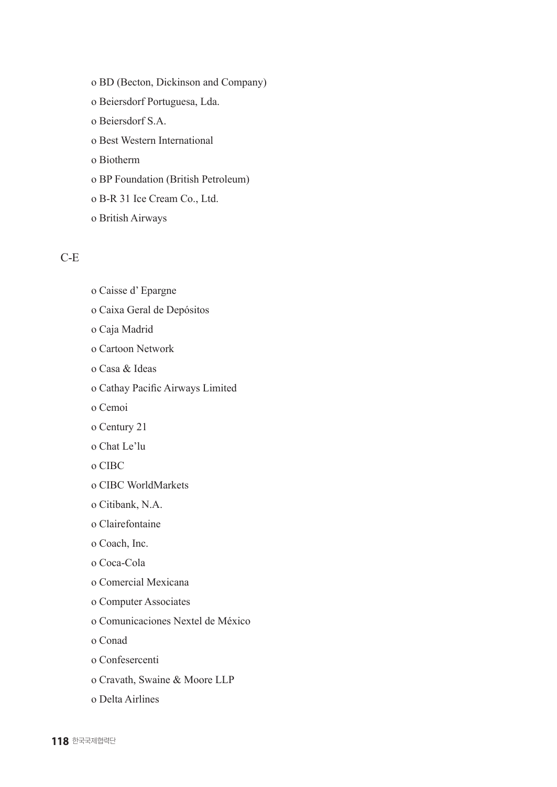o BD (Becton, Dickinson and Company) o Beiersdorf Portuguesa, Lda. o Beiersdorf S.A. o Best Western International o Biotherm o BP Foundation (British Petroleum) o B-R 31 Ice Cream Co., Ltd.

o British Airways

### C-E

- o Caisse d' Epargne
- o Caixa Geral de Depósitos
- o Caja Madrid
- o Cartoon Network
- o Casa & Ideas
- o Cathay Pacific Airways Limited
- o Cemoi
- o Century 21
- o Chat Le'lu
- o CIBC
- o CIBC WorldMarkets
- o Citibank, N.A.
- o Clairefontaine
- o Coach, Inc.
- o Coca-Cola
- o Comercial Mexicana
- o Computer Associates
- o Comunicaciones Nextel de México
- o Conad
- o Confesercenti
- o Cravath, Swaine & Moore LLP
- o Delta Airlines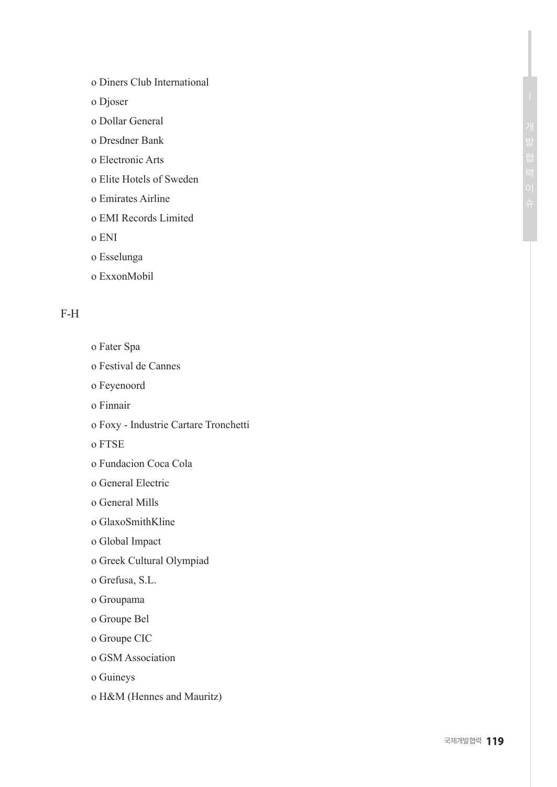- o Diners Club International
- o Djoser
- o Dollar General
- o Dresdner Bank
- o Electronic Arts
- o Elite Hotels of Sweden
- o Emirates Airline
- o EMI Records Limited
- o ENI
- o Esselunga
- o ExxonMobil

### F-H

- o Fater Spa
- o Festival de Cannes
- o Feyenoord
- o Finnair
- o Foxy Industrie Cartare Tronchetti
- o FTSE
- o Fundacion Coca Cola
- o General Electric
- o General Mills
- o GlaxoSmithKline
- o Global Impact
- o Greek Cultural Olympiad
- o Grefusa, S.L.
- o Groupama
- o Groupe Bel
- o Groupe CIC
- o GSM Association
- o Guineys
- o H&M (Hennes and Mauritz)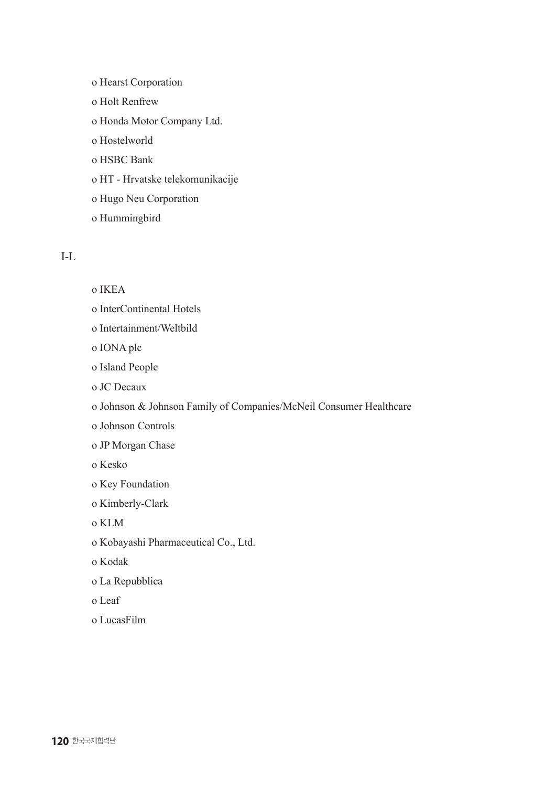o Hearst Corporation o Holt Renfrew o Honda Motor Company Ltd. o Hostelworld o HSBC Bank o HT - Hrvatske telekomunikacije o Hugo Neu Corporation o Hummingbird

### I-L

o IKEA

- o InterContinental Hotels
- o Intertainment/Weltbild

o IONA plc

o Island People

- o JC Decaux
- o Johnson & Johnson Family of Companies/McNeil Consumer Healthcare
- o Johnson Controls
- o JP Morgan Chase
- o Kesko
- o Key Foundation
- o Kimberly-Clark
- o KLM
- o Kobayashi Pharmaceutical Co., Ltd.
- o Kodak
- o La Repubblica
- o Leaf
- o LucasFilm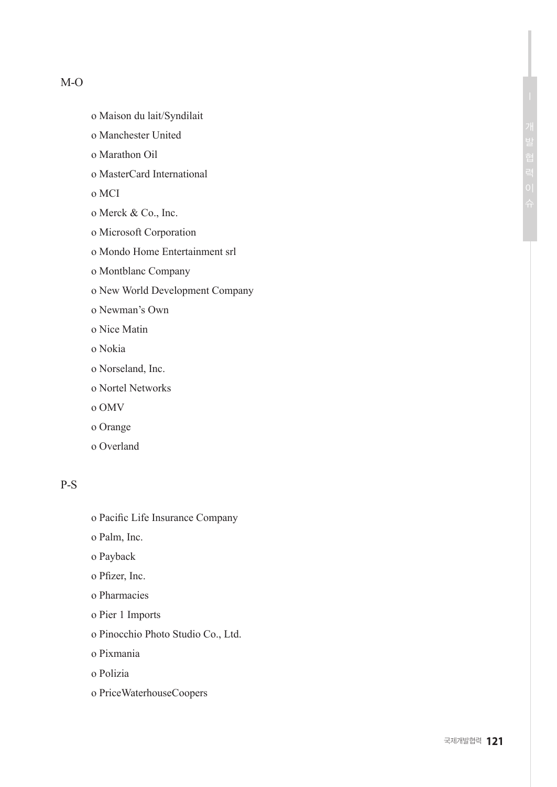### M-O

- o Maison du lait/Syndilait
- o Manchester United
- o Marathon Oil
- o MasterCard International
- o MCI
- o Merck & Co., Inc.
- o Microsoft Corporation
- o Mondo Home Entertainment srl
- o Montblanc Company
- o New World Development Company
- o Newman's Own
- o Nice Matin
- o Nokia
- o Norseland, Inc.
- o Nortel Networks
- o OMV
- o Orange
- o Overland

### P-S

- o Pacific Life Insurance Company
- o Palm, Inc.
- o Payback
- o Pfizer, Inc.
- o Pharmacies
- o Pier 1 Imports
- o Pinocchio Photo Studio Co., Ltd.
- o Pixmania
- o Polizia
- o PriceWaterhouseCoopers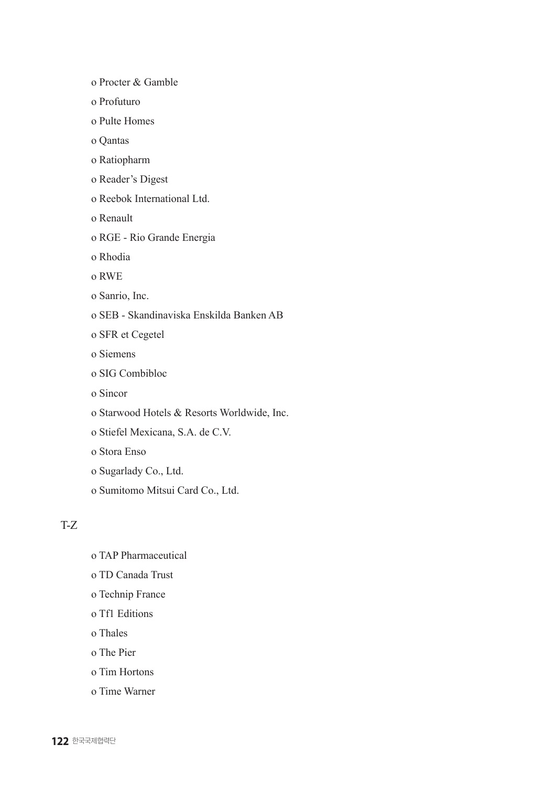o Procter & Gamble

- o Profuturo
- o Pulte Homes
- o Qantas
- o Ratiopharm
- o Reader's Digest
- o Reebok International Ltd.
- o Renault
- o RGE Rio Grande Energia
- o Rhodia
- o RWE
- o Sanrio, Inc.
- o SEB Skandinaviska Enskilda Banken AB
- o SFR et Cegetel
- o Siemens
- o SIG Combibloc
- o Sincor
- o Starwood Hotels & Resorts Worldwide, Inc.
- o Stiefel Mexicana, S.A. de C.V.
- o Stora Enso
- o Sugarlady Co., Ltd.
- o Sumitomo Mitsui Card Co., Ltd.

### T-Z

- o TAP Pharmaceutical
- o TD Canada Trust
- o Technip France
- o Tf1 Editions
- o Thales
- o The Pier
- o Tim Hortons
- o Time Warner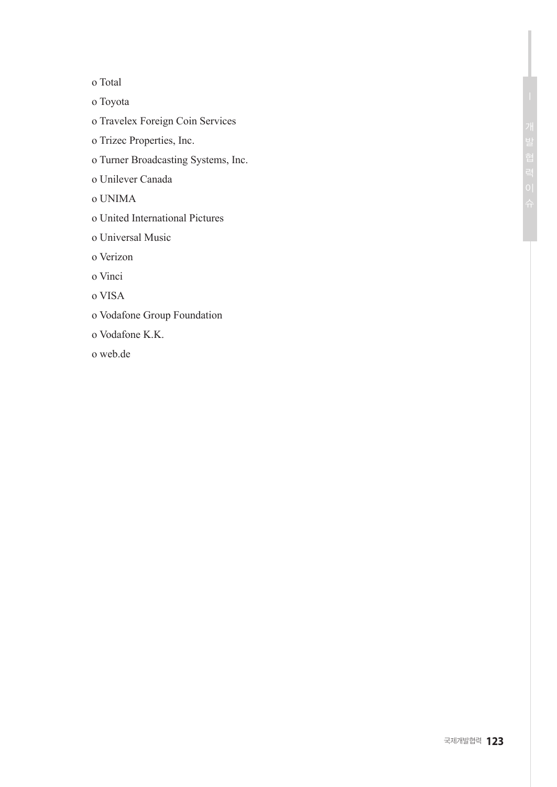o Total

o Toyota

- o Travelex Foreign Coin Services
- o Trizec Properties, Inc.
- o Turner Broadcasting Systems, Inc.

o Unilever Canada

o UNIMA

- o United International Pictures
- o Universal Music

o Verizon

o Vinci

o VISA

- o Vodafone Group Foundation
- o Vodafone K.K.

o web.de